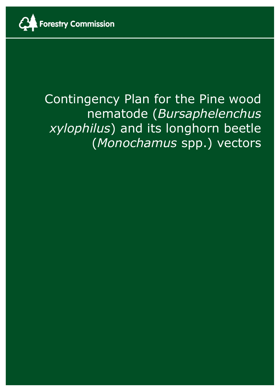

# Contingency Plan for the Pine wood nematode (*Bursaphelenchus xylophilus*) and its longhorn beetle (*Monochamus* spp.) vectors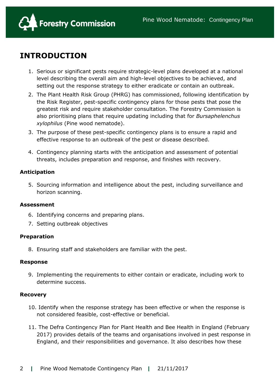

# **INTRODUCTION**

- 1. Serious or significant pests require strategic-level plans developed at a national level describing the overall aim and high-level objectives to be achieved, and setting out the response strategy to either eradicate or contain an outbreak.
- 2. The Plant Health Risk Group (PHRG) has commissioned, following identification by the Risk Register, pest-specific contingency plans for those pests that pose the greatest risk and require stakeholder consultation. The Forestry Commission is also prioritising plans that require updating including that for *Bursaphelenchus xylophilus* (Pine wood nematode).
- 3. The purpose of these pest-specific contingency plans is to ensure a rapid and effective response to an outbreak of the pest or disease described.
- 4. Contingency planning starts with the anticipation and assessment of potential threats, includes preparation and response, and finishes with recovery.

# **Anticipation**

5. Sourcing information and intelligence about the pest, including surveillance and horizon scanning.

# **Assessment**

- 6. Identifying concerns and preparing plans.
- 7. Setting outbreak objectives

# **Preparation**

8. Ensuring staff and stakeholders are familiar with the pest.

# **Response**

9. Implementing the requirements to either contain or eradicate, including work to determine success.

# **Recovery**

- 10. Identify when the response strategy has been effective or when the response is not considered feasible, cost-effective or beneficial.
- 11. The Defra Contingency Plan for Plant Health and Bee Health in England (February 2017) provides details of the teams and organisations involved in pest response in England, and their responsibilities and governance. It also describes how these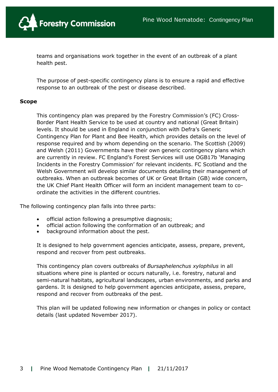

teams and organisations work together in the event of an outbreak of a plant health pest.

The purpose of pest-specific contingency plans is to ensure a rapid and effective response to an outbreak of the pest or disease described.

#### **Scope**

This contingency plan was prepared by the Forestry Commission's (FC) Cross-Border Plant Health Service to be used at country and national (Great Britain) levels. It should be used in England in conjunction with Defra's Generic Contingency Plan for Plant and Bee Health, which provides details on the level of response required and by whom depending on the scenario. The Scottish (2009) and Welsh (2011) Governments have their own generic contingency plans which are currently in review. FC England's Forest Services will use OGB17b 'Managing Incidents in the Forestry Commission' for relevant incidents. FC Scotland and the Welsh Government will develop similar documents detailing their management of outbreaks. When an outbreak becomes of UK or Great Britain (GB) wide concern, the UK Chief Plant Health Officer will form an incident management team to coordinate the activities in the different countries.

The following contingency plan falls into three parts:

- official action following a presumptive diagnosis;
- official action following the conformation of an outbreak; and
- background information about the pest.

It is designed to help government agencies anticipate, assess, prepare, prevent, respond and recover from pest outbreaks.

This contingency plan covers outbreaks of *Bursaphelenchus xylophilus* in all situations where pine is planted or occurs naturally, i.e. forestry, natural and semi-natural habitats, agricultural landscapes, urban environments, and parks and gardens. It is designed to help government agencies anticipate, assess, prepare, respond and recover from outbreaks of the pest.

This plan will be updated following new information or changes in policy or contact details (last updated November 2017).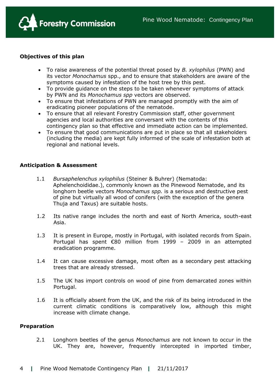

# **Objectives of this plan**

- To raise awareness of the potential threat posed by *B. xylophilus* (PWN) and its vector *Monochamus* spp., and to ensure that stakeholders are aware of the symptoms caused by infestation of the host tree by this pest.
- To provide guidance on the steps to be taken whenever symptoms of attack by PWN and its *Monochamus spp* vectors are observed.
- To ensure that infestations of PWN are managed promptly with the aim of eradicating pioneer populations of the nematode.
- To ensure that all relevant Forestry Commission staff, other government agencies and local authorities are conversant with the contents of this contingency plan so that effective and immediate action can be implemented.
- To ensure that good communications are put in place so that all stakeholders (including the media) are kept fully informed of the scale of infestation both at regional and national levels.

# **Anticipation & Assessment**

- 1.1 *Bursaphelenchus xylophilus* (Steiner & Buhrer) (Nematoda: Aphelenchoididae.), commonly known as the Pinewood Nematode, and its longhorn beetle vectors *Monochamus spp.* is a serious and destructive pest of pine but virtually all wood of conifers (with the exception of the genera Thuja and Taxus) are suitable hosts.
- 1.2 Its native range includes the north and east of North America, south-east Asia.
- 1.3 It is present in Europe, mostly in Portugal, with isolated records from Spain. Portugal has spent €80 million from 1999 – 2009 in an attempted eradication programme.
- 1.4 It can cause excessive damage, most often as a secondary pest attacking trees that are already stressed.
- 1.5 The UK has import controls on wood of pine from demarcated zones within Portugal.
- 1.6 It is officially absent from the UK, and the risk of its being introduced in the current climatic conditions is comparatively low, although this might increase with climate change.

# **Preparation**

2.1 Longhorn beetles of the genus *Monochamus* are not known to occur in the UK. They are, however, frequently intercepted in imported timber,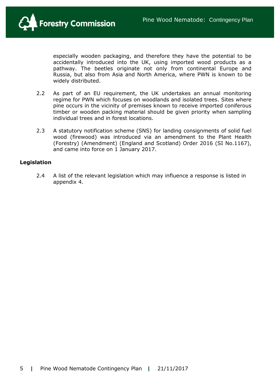

especially wooden packaging, and therefore they have the potential to be accidentally introduced into the UK, using imported wood products as a pathway. The beetles originate not only from continental Europe and Russia, but also from Asia and North America, where PWN is known to be widely distributed.

- 2.2 As part of an EU requirement, the UK undertakes an annual monitoring regime for PWN which focuses on woodlands and isolated trees. Sites where pine occurs in the vicinity of premises known to receive imported coniferous timber or wooden packing material should be given priority when sampling individual trees and in forest locations.
- 2.3 A statutory notification scheme (SNS) for landing consignments of solid fuel wood (firewood) was introduced via an amendment to the Plant Health (Forestry) (Amendment) (England and Scotland) Order 2016 (SI No.1167), and came into force on 1 January 2017.

#### **Legislation**

2.4 A list of the relevant legislation which may influence a response is listed in appendix 4.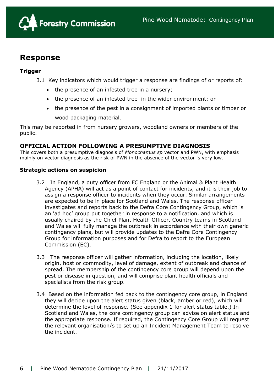

# **Response**

# **Trigger**

3.1 Key indicators which would trigger a response are findings of or reports of:

- the presence of an infested tree in a nursery;
- the presence of an infested tree in the wider environment; or
- the presence of the pest in a consignment of imported plants or timber or wood packaging material.

This may be reported in from nursery growers, woodland owners or members of the public.

# **OFFICIAL ACTION FOLLOWING A PRESUMPTIVE DIAGNOSIS**

This covers both a presumptive diagnosis of *Monochamus sp* vector and PWN, with emphasis mainly on vector diagnosis as the risk of PWN in the absence of the vector is very low.

#### **Strategic actions on suspicion**

- 3.2 In England, a duty officer from FC England or the Animal & Plant Health Agency (APHA) will act as a point of contact for incidents, and it is their job to assign a response officer to incidents when they occur. Similar arrangements are expected to be in place for Scotland and Wales. The response officer investigates and reports back to the Defra Core Contingency Group, which is an 'ad hoc' group put together in response to a notification, and which is usually chaired by the Chief Plant Health Officer. Country teams in Scotland and Wales will fully manage the outbreak in accordance with their own generic contingency plans, but will provide updates to the Defra Core Contingency Group for information purposes and for Defra to report to the European Commission (EC).
- 3.3 The response officer will gather information, including the location, likely origin, host or commodity, level of damage, extent of outbreak and chance of spread. The membership of the contingency core group will depend upon the pest or disease in question, and will comprise plant health officials and specialists from the risk group.
- 3.4 Based on the information fed back to the contingency core group, in England they will decide upon the alert status given (black, amber or red), which will determine the level of response. (See appendix 1 for alert status table.) In Scotland and Wales, the core contingency group can advise on alert status and the appropriate response. If required, the Contingency Core Group will request the relevant organisation/s to set up an Incident Management Team to resolve the incident.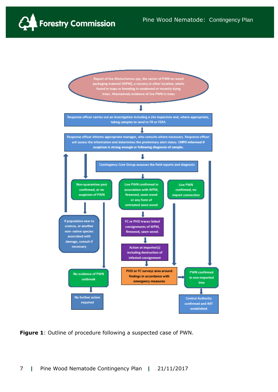



**Figure 1**: Outline of procedure following a suspected case of PWN.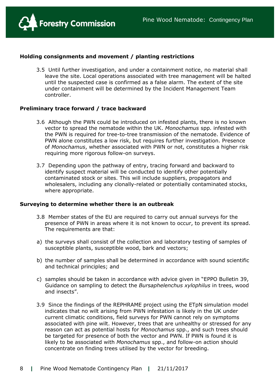

### **Holding consignments and movement / planting restrictions**

3.5 Until further investigation, and under a containment notice, no material shall leave the site. Local operations associated with tree management will be halted until the suspected case is confirmed as a false alarm. The extent of the site under containment will be determined by the Incident Management Team controller.

#### **Preliminary trace forward / trace backward**

- 3.6 Although the PWN could be introduced on infested plants, there is no known vector to spread the nematode within the UK. *Monochamus* spp. infested with the PWN is required for tree-to-tree transmission of the nematode. Evidence of PWN alone constitutes a low risk, but requires further investigation. Presence of *Monochamus*, whether associated with PWN or not, constitutes a higher risk requiring more rigorous follow-on surveys.
- 3.7 Depending upon the pathway of entry, tracing forward and backward to identify suspect material will be conducted to identify other potentially contaminated stock or sites. This will include suppliers, propagators and wholesalers, including any clonally-related or potentially contaminated stocks, where appropriate.

#### **Surveying to determine whether there is an outbreak**

- 3.8 Member states of the EU are required to carry out annual surveys for the presence of PWN in areas where it is not known to occur, to prevent its spread. The requirements are that:
- a) the surveys shall consist of the collection and laboratory testing of samples of susceptible plants, susceptible wood, bark and vectors;
- b) the number of samples shall be determined in accordance with sound scientific and technical principles; and
- c) samples should be taken in accordance with advice given in "EPPO Bulletin 39, Guidance on sampling to detect the *Bursaphelenchus xylophilus* in trees, wood and insects".
- 3.9 Since the findings of the REPHRAME project using the ETpN simulation model indicates that no wilt arising from PWN infestation is likely in the UK under current climatic conditions, field surveys for PWN cannot rely on symptoms associated with pine wilt. However, trees that are unhealthy or stressed for any reason can act as potential hosts for *Monochamus* spp., and such trees should be targeted for presence of both the vector and PWN. If PWN is found it is likely to be associated with *Monochamus* spp., and follow-on action should concentrate on finding trees utilised by the vector for breeding.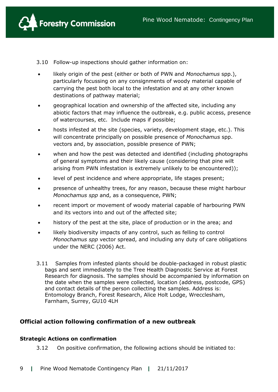

3.10 Follow-up inspections should gather information on:

- likely origin of the pest (either or both of PWN and *Monochamus* spp.), particularly focussing on any consignments of woody material capable of carrying the pest both local to the infestation and at any other known destinations of pathway material;
- geographical location and ownership of the affected site, including any abiotic factors that may influence the outbreak, e.g. public access, presence of watercourses, etc. Include maps if possible;
- hosts infested at the site (species, variety, development stage, etc.). This will concentrate principally on possible presence of *Monochamus* spp. vectors and, by association, possible presence of PWN;
- when and how the pest was detected and identified (including photographs of general symptoms and their likely cause (considering that pine wilt arising from PWN infestation is extremely unlikely to be encountered));
- level of pest incidence and where appropriate, life stages present;
- presence of unhealthy trees, for any reason, because these might harbour *Monochamus spp* and, as a consequence, PWN;
- recent import or movement of woody material capable of harbouring PWN and its vectors into and out of the affected site;
- history of the pest at the site, place of production or in the area; and
- likely biodiversity impacts of any control, such as felling to control *Monochamus spp* vector spread, and including any duty of care obligations under the NERC (2006) Act.
- 3.11 Samples from infested plants should be double-packaged in robust plastic bags and sent immediately to the Tree Health Diagnostic Service at Forest Research for diagnosis. The samples should be accompanied by information on the date when the samples were collected, location (address, postcode, GPS) and contact details of the person collecting the samples. Address is: Entomology Branch, Forest Research, Alice Holt Lodge, Wrecclesham, Farnham, Surrey, GU10 4LH

# **Official action following confirmation of a new outbreak**

# **Strategic Actions on confirmation**

3.12 On positive confirmation, the following actions should be initiated to: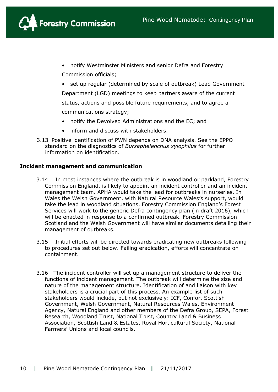

- notify Westminster Ministers and senior Defra and Forestry Commission officials;
- set up regular (determined by scale of outbreak) Lead Government Department (LGD) meetings to keep partners aware of the current status, actions and possible future requirements, and to agree a communications strategy;
- notify the Devolved Administrations and the EC; and
- inform and discuss with stakeholders.
- 3.13 Positive identification of PWN depends on DNA analysis. See the EPPO standard on the diagnostics of *Bursaphelenchus xylophilus* for further information on identification.

#### **Incident management and communication**

- 3.14 In most instances where the outbreak is in woodland or parkland, Forestry Commission England, is likely to appoint an incident controller and an incident management team. APHA would take the lead for outbreaks in nurseries. In Wales the Welsh Government, with Natural Resource Wales's support, would take the lead in woodland situations. Forestry Commission England's Forest Services will work to the generic Defra contingency plan (in draft 2016), which will be enacted in response to a confirmed outbreak. Forestry Commission Scotland and the Welsh Government will have similar documents detailing their management of outbreaks.
- 3.15 Initial efforts will be directed towards eradicating new outbreaks following to procedures set out below. Failing eradication, efforts will concentrate on containment.
- 3.16 The incident controller will set up a management structure to deliver the functions of incident management. The outbreak will determine the size and nature of the management structure. Identification of and liaison with key stakeholders is a crucial part of this process. An example list of such stakeholders would include, but not exclusively: ICF, Confor, Scottish Government, Welsh Government, Natural Resources Wales, Environment Agency, Natural England and other members of the Defra Group, SEPA, Forest Research, Woodland Trust, National Trust, Country Land & Business Association, Scottish Land & Estates, Royal Horticultural Society, National Farmers' Unions and local councils.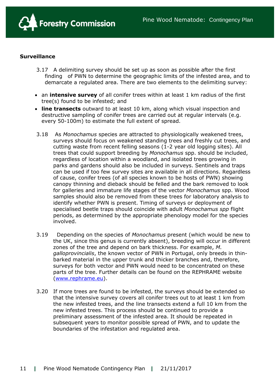

#### **Surveillance**

- 3.17 A delimiting survey should be set up as soon as possible after the first finding of PWN to determine the geographic limits of the infested area, and to demarcate a regulated area. There are two elements to the delimiting survey:
- an **intensive survey** of all conifer trees within at least 1 km radius of the first tree(s) found to be infested; and
- **line transects** outward to at least 10 km, along which visual inspection and destructive sampling of conifer trees are carried out at regular intervals (e.g. every 50-100m) to estimate the full extent of spread.
- 3.18 As *Monochamus* species are attracted to physiologically weakened trees, surveys should focus on weakened standing trees and freshly cut trees, and cutting waste from recent felling seasons (1-2 year old logging sites). All trees that could support breeding by *Monochamus* spp. should be included, regardless of location within a woodland, and isolated trees growing in parks and gardens should also be included in surveys. Sentinels and traps can be used if too few survey sites are available in all directions. Regardless of cause, conifer trees (of all species known to be hosts of PWN) showing canopy thinning and dieback should be felled and the bark removed to look for galleries and immature life stages of the vector *Monochamus* spp. Wood samples should also be removed from these trees for laboratory analysis to identify whether PWN is present. Timing of surveys or deployment of specialised beetle traps should coincide with adult *Monochamus spp* flight periods, as determined by the appropriate phenology model for the species involved.
- 3.19 Depending on the species of *Monochamus* present (which would be new to the UK, since this genus is currently absent), breeding will occur in different zones of the tree and depend on bark thickness. For example, *M. galloprovincialis*, the known vector of PWN in Portugal, only breeds in thinbarked material in the upper trunk and thicker branches and, therefore, surveys for both vector and PWN would need to be concentrated on these parts of the tree. Further details can be found on the REPHRAME website [\(www.rephrame.eu\)](http://www.rephrame.eu/).
- 3.20 If more trees are found to be infested, the surveys should be extended so that the intensive survey covers all conifer trees out to at least 1 km from the new infested trees, and the line transects extend a full 10 km from the new infested trees. This process should be continued to provide a preliminary assessment of the infested area. It should be repeated in subsequent years to monitor possible spread of PWN, and to update the boundaries of the infestation and regulated area.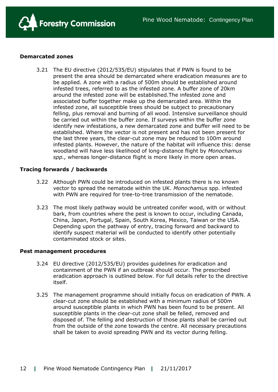

#### **Demarcated zones**

3.21 The EU directive (2012/535/EU) stipulates that if PWN is found to be present the area should be demarcated where eradication measures are to be applied. A zone with a radius of 500m should be established around infested trees, referred to as the infested zone. A buffer zone of 20km around the infested zone will be established.The infested zone and associated buffer together make up the demarcated area. Within the infested zone, all susceptible trees should be subject to precautionary felling, plus removal and burning of all wood. Intensive surveillance should be carried out within the buffer zone. If surveys within the buffer zone identify new infestations, a new demarcated zone and buffer will need to be established. Where the vector is not present and has not been present for the last three years, the clear-cut zone may be reduced to 100m around infested plants. However, the nature of the habitat will influence this: dense woodland will have less likelihood of long-distance flight by *Monochamus spp.,* whereas longer-distance flight is more likely in more open areas.

#### **Tracing forwards / backwards**

- 3.22 Although PWN could be introduced on infested plants there is no known vector to spread the nematode within the UK. *Monochamus* spp. infested with PWN are required for tree-to-tree transmission of the nematode.
- 3.23 The most likely pathway would be untreated conifer wood, with or without bark, from countries where the pest is known to occur, including Canada, China, Japan, Portugal, Spain, South Korea, Mexico, Taiwan or the USA. Depending upon the pathway of entry, tracing forward and backward to identify suspect material will be conducted to identify other potentially contaminated stock or sites.

#### **Pest management procedures**

- 3.24 EU directive (2012/535/EU) provides guidelines for eradication and containment of the PWN if an outbreak should occur. The prescribed eradication approach is outlined below. For full details refer to the directive itself.
- 3.25 The management programme should initially focus on eradication of PWN. A clear-cut zone should be established with a minimum radius of 500m around susceptible plants in which PWN has been found to be present. All susceptible plants in the clear-cut zone shall be felled, removed and disposed of. The felling and destruction of those plants shall be carried out from the outside of the zone towards the centre. All necessary precautions shall be taken to avoid spreading PWN and its vector during felling.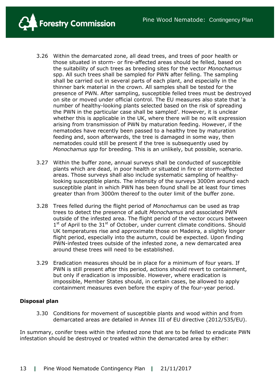**Forestry Commission** 

- 3.26 Within the demarcated zone, all dead trees, and trees of poor health or those situated in storm- or fire-affected areas should be felled, based on the suitability of such trees as breeding sites for the vector *Monochamus* spp. All such trees shall be sampled for PWN after felling. The sampling shall be carried out in several parts of each plant, and especially in the thinner bark material in the crown. All samples shall be tested for the presence of PWN. After sampling, susceptible felled trees must be destroyed on site or moved under official control. The EU measures also state that 'a number of healthy-looking plants selected based on the risk of spreading the PWN in the particular case shall be sampled'. However, it is unclear whether this is applicable in the UK, where there will be no wilt expression arising from transmission of PWN by maturation feeding. However, if the nematodes have recently been passed to a healthy tree by maturation feeding and, soon afterwards, the tree is damaged in some way, then nematodes could still be present if the tree is subsequently used by *Monochamus spp* for breeding. This is an unlikely, but possible, scenario.
- 3.27 Within the buffer zone, annual surveys shall be conducted of susceptible plants which are dead, in poor health or situated in fire or storm-affected areas. Those surveys shall also include systematic sampling of healthylooking susceptible plants. The intensity of the surveys 3000m around each susceptible plant in which PWN has been found shall be at least four times greater than from 3000m thereof to the outer limit of the buffer zone.
- 3.28 Trees felled during the flight period of *Monochamus* can be used as trap trees to detect the presence of adult *Monochamus* and associated PWN outside of the infested area. The flight period of the vector occurs between 1<sup>st</sup> of April to the 31<sup>st</sup> of October, under current climate conditions. Should UK temperatures rise and approximate those on Madeira, a slightly longer flight period, especially into the autumn, could be expected. Upon finding PWN-infested trees outside of the infested zone, a new demarcated area around these trees will need to be established.
- 3.29 Eradication measures should be in place for a minimum of four years. If PWN is still present after this period, actions should revert to containment, but only if eradication is impossible. However, where eradication is impossible, Member States should, in certain cases, be allowed to apply containment measures even before the expiry of the four-year period.

# **Disposal plan**

3.30 Conditions for movement of susceptible plants and wood within and from demarcated areas are detailed in Annex III of EU directive (2012/535/EU).

In summary, conifer trees within the infested zone that are to be felled to eradicate PWN infestation should be destroyed or treated within the demarcated area by either: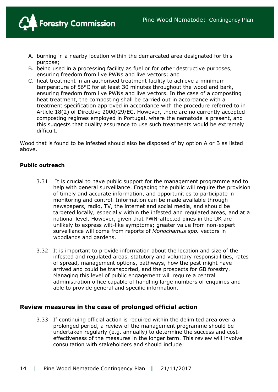

- A. burning in a nearby location within the demarcated area designated for this purpose;
- B. being used in a processing facility as fuel or for other destructive purposes, ensuring freedom from live PWNs and live vectors; and
- C. heat treatment in an authorised treatment facility to achieve a minimum temperature of 56°C for at least 30 minutes throughout the wood and bark, ensuring freedom from live PWNs and live vectors. In the case of a composting heat treatment, the composting shall be carried out in accordance with a treatment specification approved in accordance with the procedure referred to in Article 18(2) of Directive 2000/29/EC. However, there are no currently accepted composting regimes employed in Portugal, where the nematode is present, and this suggests that quality assurance to use such treatments would be extremely difficult.

Wood that is found to be infested should also be disposed of by option A or B as listed above.

# **Public outreach**

- 3.31 It is crucial to have public support for the management programme and to help with general surveillance. Engaging the public will require the provision of timely and accurate information, and opportunities to participate in monitoring and control. Information can be made available through newspapers, radio, TV, the internet and social media, and should be targeted locally, especially within the infested and regulated areas, and at a national level. However, given that PWN-affected pines in the UK are unlikely to express wilt-like symptoms; greater value from non-expert surveillance will come from reports of *Monochamus spp.* vectors in woodlands and gardens.
- 3.32 It is important to provide information about the location and size of the infested and regulated areas, statutory and voluntary responsibilities, rates of spread, management options, pathways, how the pest might have arrived and could be transported, and the prospects for GB forestry. Managing this level of public engagement will require a central administration office capable of handling large numbers of enquiries and able to provide general and specific information.

# **Review measures in the case of prolonged official action**

3.33 If continuing official action is required within the delimited area over a prolonged period, a review of the management programme should be undertaken regularly (e.g. annually) to determine the success and costeffectiveness of the measures in the longer term. This review will involve consultation with stakeholders and should include: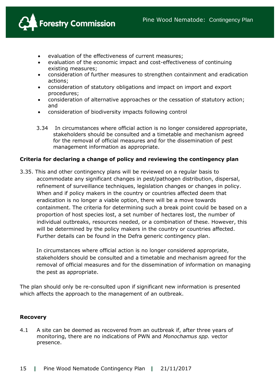

- evaluation of the effectiveness of current measures;
- evaluation of the economic impact and cost-effectiveness of continuing existing measures;
- consideration of further measures to strengthen containment and eradication actions;
- consideration of statutory obligations and impact on import and export procedures;
- consideration of alternative approaches or the cessation of statutory action; and
- consideration of biodiversity impacts following control
- 3.34 In circumstances where official action is no longer considered appropriate, stakeholders should be consulted and a timetable and mechanism agreed for the removal of official measures and for the dissemination of pest management information as appropriate.

# **Criteria for declaring a change of policy and reviewing the contingency plan**

3.35. This and other contingency plans will be reviewed on a regular basis to accommodate any significant changes in pest/pathogen distribution, dispersal, refinement of surveillance techniques, legislation changes or changes in policy. When and if policy makers in the country or countries affected deem that eradication is no longer a viable option, there will be a move towards containment. The criteria for determining such a break point could be based on a proportion of host species lost, a set number of hectares lost, the number of individual outbreaks, resources needed, or a combination of these. However, this will be determined by the policy makers in the country or countries affected. Further details can be found in the Defra generic contingency plan.

In circumstances where official action is no longer considered appropriate, stakeholders should be consulted and a timetable and mechanism agreed for the removal of official measures and for the dissemination of information on managing the pest as appropriate.

The plan should only be re-consulted upon if significant new information is presented which affects the approach to the management of an outbreak.

#### **Recovery**

4.1 A site can be deemed as recovered from an outbreak if, after three years of monitoring, there are no indications of PWN and *Monochamus spp.* vector presence.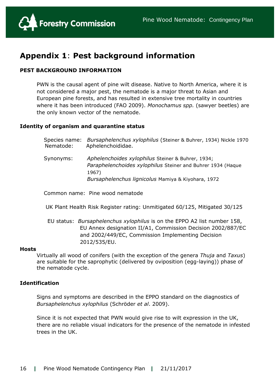

# **Appendix 1**: **Pest background information**

# **PEST BACKGROUND INFORMATION**

PWN is the causal agent of pine wilt disease. Native to North America, where it is not considered a major pest, the nematode is a major threat to Asian and European pine forests, and has resulted in extensive tree mortality in countries where it has been introduced (FAO 2009). *Monochamus spp.* (sawyer beetles) are the only known vector of the nematode.

#### **Identity of organism and quarantine status**

| Species name:<br>Nematode: | Bursaphelenchus xylophilus (Steiner & Buhrer, 1934) Nickle 1970<br>Aphelenchoididae.                                                                                            |
|----------------------------|---------------------------------------------------------------------------------------------------------------------------------------------------------------------------------|
| Synonyms:                  | Aphelenchoides xylophilus Steiner & Buhrer, 1934;<br>Paraphelenchoides xylophilus Steiner and Buhrer 1934 (Haque<br>1967)<br>Bursaphelenchus lignicolus Mamiya & Kiyohara, 1972 |

Common name: Pine wood nematode

UK Plant Health Risk Register rating: Unmitigated 60/125, Mitigated 30/125

 EU status: *Bursaphelenchus xylophilus* is on the EPPO A2 list number 158, EU Annex designation II/A1, Commission Decision 2002/887/EC and 2002/449/EC, Commission Implementing Decision 2012/535/EU.

#### **Hosts**

Virtually all wood of conifers (with the exception of the genera *Thuja* and *Taxus*) are suitable for the saprophytic (delivered by oviposition (egg-laying)) phase of the nematode cycle.

### **Identification**

Signs and symptoms are described in the EPPO standard on the diagnostics of *Bursaphelenchus xylophilus* (Schröder *et al*. 2009).

Since it is not expected that PWN would give rise to wilt expression in the UK, there are no reliable visual indicators for the presence of the nematode in infested trees in the UK.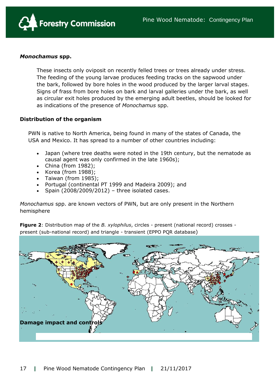

# *Monochamus* **spp.**

These insects only oviposit on recently felled trees or trees already under stress. The feeding of the young larvae produces feeding tracks on the sapwood under the bark, followed by bore holes in the wood produced by the larger larval stages. Signs of frass from bore holes on bark and larval galleries under the bark, as well as circular exit holes produced by the emerging adult beetles, should be looked for as indications of the presence of *Monochamus* spp.

# **Distribution of the organism**

PWN is native to North America, being found in many of the states of Canada, the USA and Mexico. It has spread to a number of other countries including:

- Japan (where tree deaths were noted in the 19th century, but the nematode as causal agent was only confirmed in the late 1960s);
- China (from 1982);
- Korea (from  $1988$ );
- $\bullet$  Taiwan (from 1985);
- Portugal (continental PT 1999 and Madeira 2009); and
- Spain (2008/2009/2012) three isolated cases.

*Monochamus* spp. are known vectors of PWN, but are only present in the Northern hemisphere

**Figure 2**: Distribution map of the *B. xylophilus*, circles - present (national record) crosses present (sub-national record) and triangle - transient (EPPO PQR database)

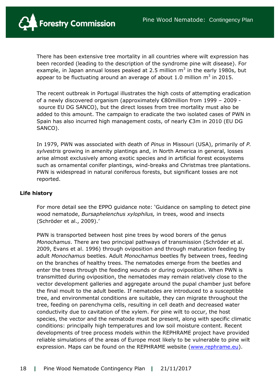

There has been extensive tree mortality in all countries where wilt expression has been recorded (leading to the description of the syndrome pine wilt disease). For example, in Japan annual losses peaked at 2.5 million  $m^3$  in the early 1980s, but appear to be fluctuating around an average of about 1.0 million  $m^3$  in 2015.

The recent outbreak in Portugal illustrates the high costs of attempting eradication of a newly discovered organism (approximately €80million from 1999 – 2009 source EU DG SANCO), but the direct losses from tree mortality must also be added to this amount. The campaign to eradicate the two isolated cases of PWN in Spain has also incurred high management costs, of nearly €3m in 2010 (EU DG SANCO).

In 1979, PWN was associated with death of *Pinus* in Missouri (USA), primarily of *P. sylvestris* growing in amenity plantings and, in North America in general, losses arise almost exclusively among exotic species and in artificial forest ecosystems such as ornamental conifer plantings, wind-breaks and Christmas tree plantations. PWN is widespread in natural coniferous forests, but significant losses are not reported.

# **Life history**

For more detail see the EPPO guidance note: 'Guidance on sampling to detect pine wood nematode, *Bursaphelenchus xylophilus,* in trees, wood and insects (Schröder et al., 2009).'

PWN is transported between host pine trees by wood borers of the genus *Monochamus*. There are two principal pathways of transmission (Schröder et al. 2009, Evans et al. 1996) through oviposition and through maturation feeding by adult *Monochamus* beetles. Adult *Monochamus* beetles fly between trees, feeding on the branches of healthy trees. The nematodes emerge from the beetles and enter the trees through the feeding wounds or during oviposition. When PWN is transmitted during oviposition, the nematodes may remain relatively close to the vector development galleries and aggregate around the pupal chamber just before the final moult to the adult beetle. If nematodes are introduced to a susceptible tree, and environmental conditions are suitable, they can migrate throughout the tree, feeding on parenchyma cells, resulting in cell death and decreased water conductivity due to cavitation of the xylem. For pine wilt to occur, the host species, the vector and the nematode must be present, along with specific climatic conditions: principally high temperatures and low soil moisture content. Recent developments of tree process models within the REPHRAME project have provided reliable simulations of the areas of Europe most likely to be vulnerable to pine wilt expression. Maps can be found on the REPHRAME website [\(www.rephrame.eu\)](http://www.rephrame.eu/).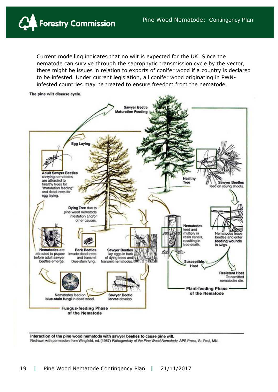

Current modelling indicates that no wilt is expected for the UK. Since the nematode can survive through the saprophytic transmission cycle by the vector, there might be issues in relation to exports of conifer wood if a country is declared to be infested. Under current legislation, all conifer wood originating in PWNinfested countries may be treated to ensure freedom from the nematode.



Interaction of the pine wood nematode with sawyer beetles to cause pine wilt. Redrawn with permission from Wingfield, ed. (1987) Pathogenicity of the Pine Wood Nematode, APS Press, St. Paul, MN,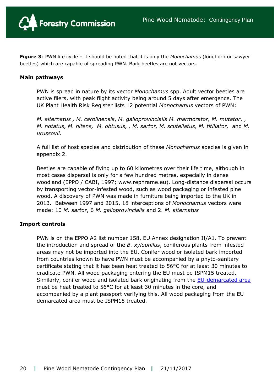

**Figure 3**: PWN life cycle – it should be noted that it is only the *Monochamus* (longhorn or sawyer beetles) which are capable of spreading PWN. Bark beetles are not vectors.

#### **Main pathways**

PWN is spread in nature by its vector *Monochamus* spp. Adult vector beetles are active fliers, with peak flight activity being around 5 days after emergence. The UK Plant Health Risk Register lists 12 potential *Monochamus* vectors of PWN:

*M. alternatus , M. carolinensis*, *M. galloprovincialis M. marmorator, M. mutator*, , *M. notatus, M. nitens, M. obtusus, , M. sartor, M. scutellatus, M. titillator,* and *M. urussovii.*

A full list of host species and distribution of these *Monochamus* species is given in appendix 2.

Beetles are capable of flying up to 60 kilometres over their life time, although in most cases dispersal is only for a few hundred metres, especially in dense woodland (EPPO / CABI, 1997; www.rephrame.eu). Long-distance dispersal occurs by transporting vector-infested wood, such as wood packaging or infested pine wood. A discovery of PWN was made in furniture being imported to the UK in 2013. Between 1997 and 2015, 18 interceptions of *Monochamus* vectors were made: 10 *M. sartor*, 6 *M. galloprovincialis* and 2. *M. alternatus*

#### **[Import controls](http://www.forestry.gov.uk/forestry/INFD-9NRKGG)**

PWN is on the EPPO A2 list number 158, EU Annex designation II/A1. To prevent the introduction and spread of the *B. xylophilus*, coniferous plants from infested areas may not be imported into the EU. Conifer wood or isolated bark imported from countries known to have PWN must be accompanied by a phyto-sanitary certificate stating that it has been heat treated to 56°C for at least 30 minutes to eradicate PWN. All wood packaging entering the EU must be ISPM15 treated. Similarly, conifer wood and isolated bark originating from the **EU-demarcated area** must be heat treated to 56°C for at least 30 minutes in the core, and accompanied by a plant passport verifying this. All wood packaging from the EU demarcated area must be ISPM15 treated.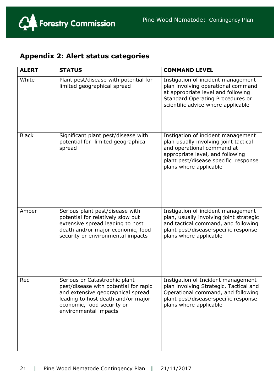

# **Appendix 2: Alert status categories**

| <b>ALERT</b> | <b>STATUS</b>                                                                                                                                                                                            | <b>COMMAND LEVEL</b>                                                                                                                                                                                            |
|--------------|----------------------------------------------------------------------------------------------------------------------------------------------------------------------------------------------------------|-----------------------------------------------------------------------------------------------------------------------------------------------------------------------------------------------------------------|
| White        | Plant pest/disease with potential for<br>limited geographical spread                                                                                                                                     | Instigation of incident management<br>plan involving operational command<br>at appropriate level and following<br>Standard Operating Procedures or<br>scientific advice where applicable                        |
| <b>Black</b> | Significant plant pest/disease with<br>potential for limited geographical<br>spread                                                                                                                      | Instigation of incident management<br>plan usually involving joint tactical<br>and operational command at<br>appropriate level, and following<br>plant pest/disease specific response<br>plans where applicable |
| Amber        | Serious plant pest/disease with<br>potential for relatively slow but<br>extensive spread leading to host<br>death and/or major economic, food<br>security or environmental impacts                       | Instigation of incident management<br>plan, usually involving joint strategic<br>and tactical command, and following<br>plant pest/disease-specific response<br>plans where applicable                          |
| Red          | Serious or Catastrophic plant<br>pest/disease with potential for rapid<br>and extensive geographical spread<br>leading to host death and/or major<br>economic, food security or<br>environmental impacts | Instigation of Incident management<br>plan involving Strategic, Tactical and<br>Operational command, and following<br>plant pest/disease-specific response<br>plans where applicable                            |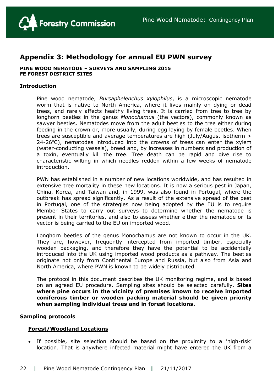

# **Appendix 3: Methodology for annual EU PWN survey**

#### **PINE WOOD NEMATODE – SURVEYS AND SAMPLING 2015 FE FOREST DISTRICT SITES**

#### **Introduction**

Pine wood nematode, *Bursaphelenchus xylophilus*, is a microscopic nematode worm that is native to North America, where it lives mainly on dying or dead trees, and rarely affects healthy living trees. It is carried from tree to tree by longhorn beetles in the genus *Monochamus* (the vectors), commonly known as sawyer beetles. Nematodes move from the adult beetles to the tree either during feeding in the crown or, more usually, during egg laying by female beetles. When trees are susceptible and average temperatures are high (July/August isotherm >  $24-26^{\circ}$ C), nematodes introduced into the crowns of trees can enter the xylem (water-conducting vessels), breed and, by increases in numbers and production of a toxin, eventually kill the tree. Tree death can be rapid and give rise to characteristic wilting in which needles redden within a few weeks of nematode introduction.

PWN has established in a number of new locations worldwide, and has resulted in extensive tree mortality in these new locations. It is now a serious pest in Japan, China, Korea, and Taiwan and, in 1999, was also found in Portugal, where the outbreak has spread significantly. As a result of the extensive spread of the pest in Portugal, one of the strategies now being adopted by the EU is to require Member States to carry out surveys to determine whether the nematode is present in their territories, and also to assess whether either the nematode or its vector is being carried to the EU on imported wood.

Longhorn beetles of the genus Monochamus are not known to occur in the UK. They are, however, frequently intercepted from imported timber, especially wooden packaging, and therefore they have the potential to be accidentally introduced into the UK using imported wood products as a pathway. The beetles originate not only from Continental Europe and Russia, but also from Asia and North America, where PWN is known to be widely distributed.

The protocol in this document describes the UK monitoring regime, and is based on an agreed EU procedure. Sampling sites should be selected carefully. **Sites where pine occurs in the vicinity of premises known to receive imported coniferous timber or wooden packing material should be given priority when sampling individual trees and in forest locations.**

#### **Sampling protocols**

#### **Forest/Woodland Locations**

 If possible, site selection should be based on the proximity to a 'high-risk' location. That is anywhere infected material might have entered the UK from a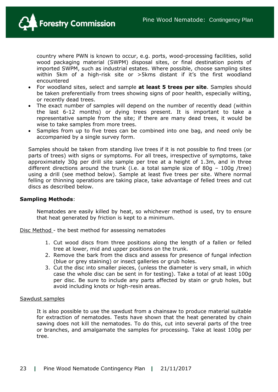

country where PWN is known to occur, e.g. ports, wood-processing facilities, solid wood packaging material (SWPM) disposal sites, or final destination points of imported SWPM, such as industrial estates. Where possible, choose sampling sites within 5km of a high-risk site or >5kms distant if it's the first woodland encountered

- For woodland sites, select and sample **at least 5 trees per site**. Samples should be taken preferentially from trees showing signs of poor health, especially wilting, or recently dead trees.
- The exact number of samples will depend on the number of recently dead (within the last 6-12 months) or dying trees present. It is important to take a representative sample from the site; if there are many dead trees, it would be wise to take samples from more trees.
- Samples from up to five trees can be combined into one bag, and need only be accompanied by a single survey form.

Samples should be taken from standing live trees if it is not possible to find trees (or parts of trees) with signs or symptoms. For all trees, irrespective of symptoms, take approximately 30g per drill site sample per tree at a height of 1.3m, and in three different directions around the trunk (i.e. a total sample size of 80g – 100g /tree) using a drill (see method below). Sample at least five trees per site. Where normal felling or thinning operations are taking place, take advantage of felled trees and cut discs as described below.

#### **Sampling Methods**:

Nematodes are easily killed by heat, so whichever method is used, try to ensure that heat generated by friction is kept to a minimum.

Disc Method - the best method for assessing nematodes

- 1. Cut wood discs from three positions along the length of a fallen or felled tree at lower, mid and upper positions on the trunk.
- 2. Remove the bark from the discs and assess for presence of fungal infection (blue or grey staining) or insect galleries or grub holes.
- 3. Cut the disc into smaller pieces, (unless the diameter is very small, in which case the whole disc can be sent in for testing). Take a total of at least 100g per disc. Be sure to include any parts affected by stain or grub holes, but avoid including knots or high-resin areas.

#### Sawdust samples

It is also possible to use the sawdust from a chainsaw to produce material suitable for extraction of nematodes. Tests have shown that the heat generated by chain sawing does not kill the nematodes. To do this, cut into several parts of the tree or branches, and amalgamate the samples for processing. Take at least 100g per tree.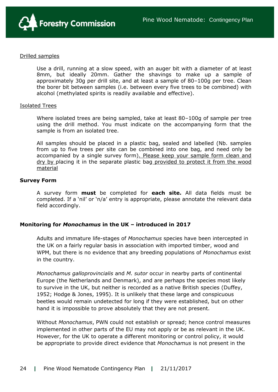

#### Drilled samples

Use a drill, running at a slow speed, with an auger bit with a diameter of at least 8mm, but ideally 20mm. Gather the shavings to make up a sample of approximately 30g per drill site, and at least a sample of 80–100g per tree. Clean the borer bit between samples (i.e. between every five trees to be combined) with alcohol (methylated spirits is readily available and effective).

#### Isolated Trees

Where isolated trees are being sampled, take at least 80–100g of sample per tree using the drill method. You must indicate on the accompanying form that the sample is from an isolated tree.

All samples should be placed in a plastic bag, sealed and labelled (Nb. samples from up to five trees per site can be combined into one bag, and need only be accompanied by a single survey form). Please keep your sample form clean and dry by placing it in the separate plastic bag provided to protect it from the wood material

#### **Survey Form**

A survey form **must** be completed for **each site.** All data fields must be completed. If a 'nil' or 'n/a' entry is appropriate, please annotate the relevant data field accordingly.

# **Monitoring for** *Monochamus* **in the UK – introduced in 2017**

Adults and immature life-stages of *Monochamus* species have been intercepted in the UK on a fairly regular basis in association with imported timber, wood and WPM, but there is no evidence that any breeding populations of *Monochamus* exist in the country.

*Monochamus galloprovincialis* and *M. sutor* occur in nearby parts of continental Europe (the Netherlands and Denmark), and are perhaps the species most likely to survive in the UK, but neither is recorded as a native British species (Duffey, 1952; Hodge & Jones, 1995). It is unlikely that these large and conspicuous beetles would remain undetected for long if they were established, but on other hand it is impossible to prove absolutely that they are not present.

Without *Monochamus*, PWN could not establish or spread; hence control measures implemented in other parts of the EU may not apply or be as relevant in the UK. However, for the UK to operate a different monitoring or control policy, it would be appropriate to provide direct evidence that *Monochamus* is not present in the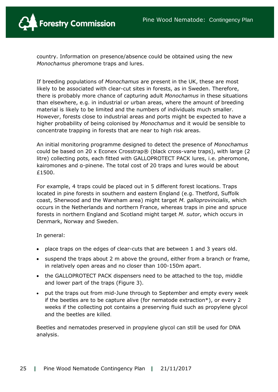

country. Information on presence/absence could be obtained using the new *Monochamus* pheromone traps and lures.

If breeding populations of *Monochamus* are present in the UK, these are most likely to be associated with clear-cut sites in forests, as in Sweden. Therefore, there is probably more chance of capturing adult *Monochamus* in these situations than elsewhere, e.g. in industrial or urban areas, where the amount of breeding material is likely to be limited and the numbers of individuals much smaller. However, forests close to industrial areas and ports might be expected to have a higher probability of being colonised by *Monochamus* and it would be sensible to concentrate trapping in forests that are near to high risk areas.

An initial monitoring programme designed to detect the presence of *Monochamus* could be based on 20 x Econex Crosstrap® (black cross-vane traps), with large (2 litre) collecting pots, each fitted with GALLOPROTECT PACK lures, i.e. pheromone, kairomones and α-pinene. The total cost of 20 traps and lures would be about £1500.

For example, 4 traps could be placed out in 5 different forest locations. Traps located in pine forests in southern and eastern England (e.g. Thetford, Suffolk coast, Sherwood and the Wareham area) might target *M. galloprovincialis*, which occurs in the Netherlands and northern France, whereas traps in pine and spruce forests in northern England and Scotland might target *M. sutor*, which occurs in Denmark, Norway and Sweden.

In general:

- place traps on the edges of clear-cuts that are between 1 and 3 years old.
- suspend the traps about 2 m above the ground, either from a branch or frame, in relatively open areas and no closer than 100-150m apart.
- the GALLOPROTECT PACK dispensers need to be attached to the top, middle and lower part of the traps (Figure 3).
- put the traps out from mid-June through to September and empty every week if the beetles are to be capture alive (for nematode extraction\*), or every 2 weeks if the collecting pot contains a preserving fluid such as propylene glycol and the beetles are killed.

Beetles and nematodes preserved in propylene glycol can still be used for DNA analysis.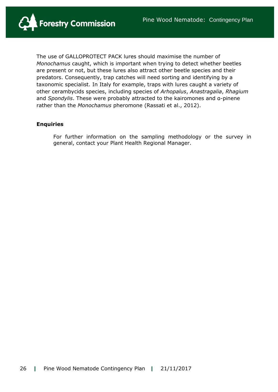

The use of GALLOPROTECT PACK lures should maximise the number of *Monochamus* caught, which is important when trying to detect whether beetles are present or not, but these lures also attract other beetle species and their predators. Consequently, trap catches will need sorting and identifying by a taxonomic specialist. In Italy for example, traps with lures caught a variety of other cerambycids species, including species of *Arhopalus*, *Anastragalia*, *Rhagium* and *Spondylis*. These were probably attracted to the kairomones and α-pinene rather than the *Monochamus* pheromone (Rassati et al., 2012).

#### **Enquiries**

For further information on the sampling methodology or the survey in general, contact your Plant Health Regional Manager.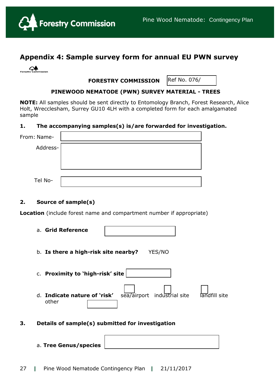

# **Appendix 4: Sample survey form for annual EU PWN survey**

| <b>Forestry Commission</b> |
|----------------------------|

 **FORESTRY COMMISSION**

Ref No. 076/

#### **PINEWOOD NEMATODE (PWN) SURVEY MATERIAL - TREES** /

**NOTE:** All samples should be sent directly to Entomology Branch, Forest Research, Alice Holt, Wrecclesham, Surrey GU10 4LH with a completed form for each amalgamated sample

#### **1. The accompanying samples(s) is/are forwarded for investigation.**

| From: Name- |  |
|-------------|--|
| Address-    |  |
|             |  |
|             |  |
| Tel No-     |  |

# **2. Source of sample(s)**

**Location** (include forest name and compartment number if appropriate)

| a. Grid Reference                     |                             |               |
|---------------------------------------|-----------------------------|---------------|
| b. Is there a high-risk site nearby?  | YES/NO                      |               |
| c. Proximity to 'high-risk' site      |                             |               |
| d. Indicate nature of 'risk'<br>other | sea/airport industrial site | landfill site |

- **3. Details of sample(s) submitted for investigation**
	- a. **Tree Genus/species**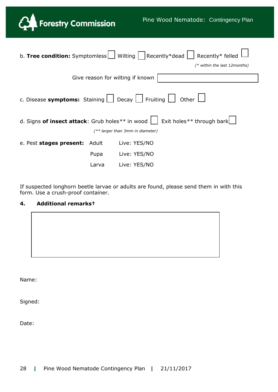

Ξ

|                                                                                          |       | b. <b>Tree condition:</b> Symptomless   Wilting $\vert$ Recently*dead   Recently* felled |  |  |
|------------------------------------------------------------------------------------------|-------|------------------------------------------------------------------------------------------|--|--|
|                                                                                          |       | $(*$ within the last 12 months)                                                          |  |  |
| Give reason for wilting if known                                                         |       |                                                                                          |  |  |
| c. Disease symptoms: Staining $\vert$   Decay     Fruiting $\vert$  <br>Other $\Box$     |       |                                                                                          |  |  |
| Exit holes <sup>**</sup> through bark<br>d. Signs of insect attack: Grub holes** in wood |       |                                                                                          |  |  |
| $(**$ larger than 3mm in diameter)                                                       |       |                                                                                          |  |  |
| e. Pest stages present: Adult                                                            |       | Live: YES/NO                                                                             |  |  |
|                                                                                          | Pupa  | Live: YES/NO                                                                             |  |  |
|                                                                                          | Larva | Live: YES/NO                                                                             |  |  |

If suspected longhorn beetle larvae or adults are found, please send them in with this form. Use a crush-proof container.

# **4. Additional remarks†**

Name:

Signed:

Date: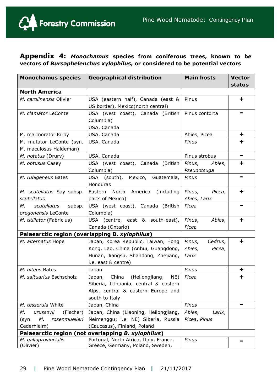

# **Appendix 4:** *Monochamus* **species from coniferous trees, known to be vectors of** *Bursaphelenchus xylophilus,* **or considered to be potential vectors**

| <b>Monochamus species</b>                          | <b>Geographical distribution</b>                                                                                                         | <b>Main hosts</b>                              | <b>Vector</b><br>status |  |
|----------------------------------------------------|------------------------------------------------------------------------------------------------------------------------------------------|------------------------------------------------|-------------------------|--|
| <b>North America</b>                               |                                                                                                                                          |                                                |                         |  |
| M. carolinensis Olivier                            | USA (eastern half), Canada (east &<br>US border), Mexico(north central)                                                                  | Pinus                                          | $\ddot{}$               |  |
| M. clamator LeConte                                | USA (west coast), Canada (British<br>Columbia)<br>USA, Canada                                                                            | Pinus contorta                                 |                         |  |
| M. marmorator Kirby                                | USA, Canada                                                                                                                              | Abies, Picea                                   | $\ddot{}$               |  |
| M. mutator LeConte (syn.<br>M. maculosus Haldeman) | USA, Canada                                                                                                                              | Pinus                                          | ╈                       |  |
| M. notatus (Drury)                                 | USA, Canada                                                                                                                              | Pinus strobus                                  | $\blacksquare$          |  |
| M. obtusus Casey                                   | USA (west coast), Canada (British<br>Columbia)                                                                                           | Pinus,<br>Abies,<br>Pseudotsuga                | ÷                       |  |
| M. rubigeneus Bates                                | USA (south), Mexico, Guatemala,<br>Honduras                                                                                              | Pinus                                          |                         |  |
| M. scutellatus Say subsp.<br>scutellatus           | (including<br>Eastern North America<br>parts of Mexico)                                                                                  | Pinus,<br>Picea,<br>Abies, Larix               | $\ddot{}$               |  |
| М.<br>scutellatus<br>subsp.<br>oregonensis LeConte | USA (west coast), Canada (British<br>Columbia)                                                                                           | Picea                                          |                         |  |
| M. titillator (Fabricius)                          | USA (centre, east & south-east),<br>Canada (Ontario)                                                                                     | Pinus,<br>Abies,<br>Picea                      | ╈                       |  |
|                                                    | Palaearctic region (overlapping B. xylophilus)                                                                                           |                                                |                         |  |
| M. alternatus Hope                                 | Japan, Korea Republic, Taiwan, Hong<br>Kong, Lao, China (Anhui, Guangdong,<br>Hunan, Jiangsu, Shandong, Zhejiang,<br>i.e. east & centre) | Cedrus,<br>Pinus,<br>Abies,<br>Picea,<br>Larix | $\mathbf +$             |  |
| M. nitens Bates                                    | Japan                                                                                                                                    | Pinus                                          | $\ddot{}$               |  |
| M. saltuarius Eschscholz                           | Japan, China<br>(Heilongjiang;<br>NE)<br>Siberia, Lithuania, central & eastern<br>Alps, central & eastern Europe and<br>south to Italy   | Picea                                          | ╈                       |  |
| M. tesserula White                                 | Japan, China                                                                                                                             | Pinus                                          | ۰                       |  |
| М.<br>urussovii<br>(Fischer)                       | Japan, China (Liaoning, Heilongjiang,                                                                                                    | Abies,<br>Larix,                               |                         |  |
| М.<br>rosenmuelleri<br>(syn.                       | Neimenggu; i.e. NE) Siberia, Russia                                                                                                      | Picea, Pinus                                   |                         |  |
| Cederhielm)                                        | (Caucasus), Finland, Poland                                                                                                              |                                                |                         |  |
| Palaearctic region (not overlapping B. xylophilus) |                                                                                                                                          |                                                |                         |  |
| M. galloprovincialis<br>(Olivier)                  | Portugal, North Africa, Italy, France,<br>Greece, Germany, Poland, Sweden,                                                               | Pinus                                          |                         |  |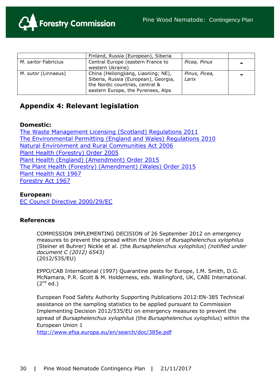

|                                                                                                                                                                             | Finland, Russia (European), Siberia                   |                        |   |
|-----------------------------------------------------------------------------------------------------------------------------------------------------------------------------|-------------------------------------------------------|------------------------|---|
| M. sartor Fabricius                                                                                                                                                         | Central Europe (eastern France to<br>western Ukraine) | Picea, Pinus           | - |
| China (Heilongjiang, Liaoning; NE),<br>M. sutor (Linnaeus)<br>Siberia, Russia (European), Georgia,<br>the Nordic countries, central &<br>eastern Europe, the Pyrenees, Alps |                                                       | Pinus, Picea,<br>Larix | - |

# **Appendix 4: Relevant legislation**

# **Domestic:**

[The Waste Management Licensing \(Scotland\) Regulations 2011](http://www.legislation.gov.uk/ssi/2011/228/made) [The Environmental Permitting \(England and Wales\) Regulations 2010](http://www.legislation.gov.uk/uksi/2010/675/contents/made) [Natural Environment and Rural Communities Act 2006](http://www.legislation.gov.uk/ukpga/2006/16/contents) [Plant Health \(Forestry\) Order 2005](http://www.forestry.gov.uk/pdf/Final-unofficial-consolidated-PHFO-Nov2014.pdf/$FILE/Final-unofficial-consolidated-PHFO-Nov2014.pdf) [Plant Health \(England\) \(Amendment\) Order 2015](http://www.legislation.gov.uk/uksi/2015/1827/contents/made) [The Plant Health \(Forestry\) \(Amendment\) \(Wales\) Order 2015](http://www.legislation.gov.uk/wsi/2015/1723/contents/made) [Plant Health Act 1967](http://www.legislation.gov.uk/ukpga/1967/8/contents) [Forestry Act 1967](http://www.legislation.gov.uk/ukpga/1967/10/contents)

**European:** [EC Council Directive 2000/29/EC](http://eur-lex.europa.eu/legal-content/EN/TXT/?qid=1422034625826&uri=CELEX:02000L0029-20140630)

# **References**

COMMISSION IMPLEMENTING DECISION of 26 September 2012 on emergency measures to prevent the spread within the Union of *Bursaphelenchus xylophilus*  (Steiner et Buhrer) Nickle et al. (the *Bursaphelenchus xylophilus*) *(notified under document C (2012) 6543)*  (2012/535/EU)

EPPO/CAB International (1997) Quarantine pests for Europe, I.M. Smith, D.G. McNamara, P.R. Scott & M. Holderness, eds. Wallingford, UK, CABI International.  $(2^{nd}$  ed.)

European Food Safety Authority Supporting Publications 2012:EN-385 Technical assistance on the sampling statistics to be applied pursuant to Commission Implementing Decision 2012/535/EU on emergency measures to prevent the spread of *Bursaphelenchus xylophilus* (the *Bursaphelenchus xylophilus*) within the European Union 1

<http://www.efsa.europa.eu/en/search/doc/385e.pdf>